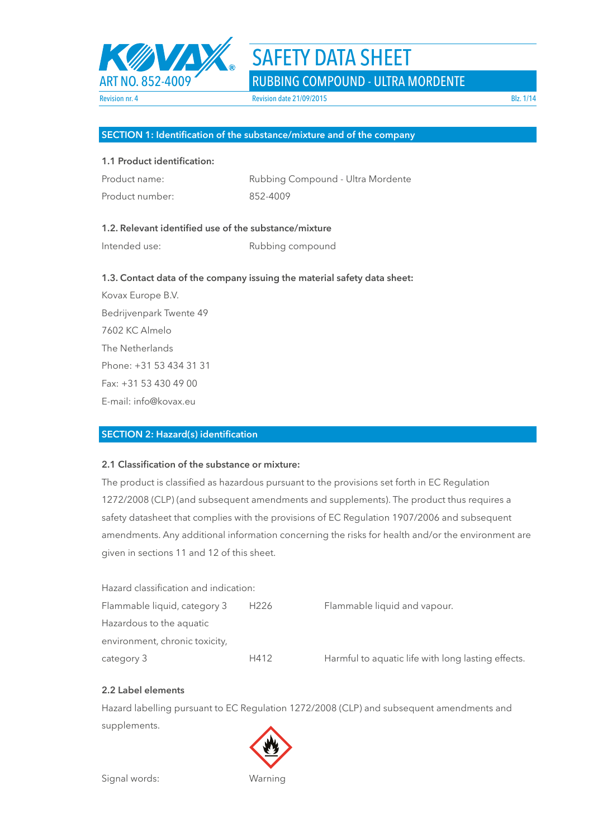

ART NO. 852-4009 RUBBING COMPOUND - ULTRA MORDENTE

## **SECTION 1: Identification of the substance/mixture and of the company**

## **1.1 Product identification:**

| Product name:   | Rubbing Compound - Ultra Mordente |
|-----------------|-----------------------------------|
| Product number: | 852-4009                          |

## **1.2. Relevant identified use of the substance/mixture**

Intended use: Rubbing compound

## **1.3. Contact data of the company issuing the material safety data sheet:**

Kovax Europe B.V. Bedrijvenpark Twente 49 7602 KC Almelo The Netherlands Phone: +31 53 434 31 31 Fax: +31 53 430 49 00 E-mail: info@kovax.eu

## **SECTION 2: Hazard(s) identification**

## **2.1 Classification of the substance or mixture:**

The product is classified as hazardous pursuant to the provisions set forth in EC Regulation 1272/2008 (CLP) (and subsequent amendments and supplements). The product thus requires a safety datasheet that complies with the provisions of EC Regulation 1907/2006 and subsequent amendments. Any additional information concerning the risks for health and/or the environment are given in sections 11 and 12 of this sheet.

| Hazard classification and indication: |                  |                                                    |
|---------------------------------------|------------------|----------------------------------------------------|
| Flammable liquid, category 3          | H <sub>226</sub> | Flammable liquid and vapour.                       |
| Hazardous to the aquatic              |                  |                                                    |
| environment, chronic toxicity,        |                  |                                                    |
| category 3                            | H412             | Harmful to aquatic life with long lasting effects. |

## **2.2 Label elements**

Hazard labelling pursuant to EC Regulation 1272/2008 (CLP) and subsequent amendments and supplements.

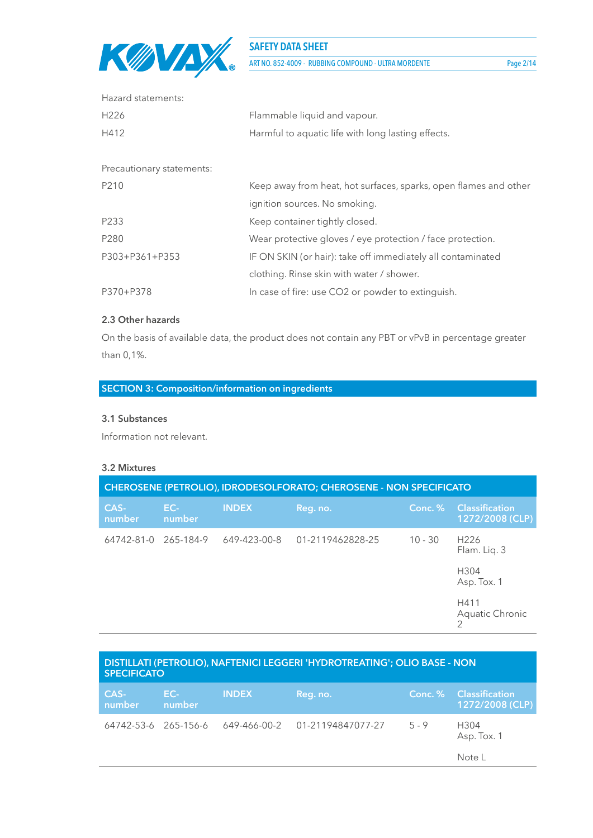

ART NO. 852-4009 - RUBBING COMPOUND - ULTRA MORDENTE Page 2/14

| Hazard statements:        |                                                                  |
|---------------------------|------------------------------------------------------------------|
| H <sub>226</sub>          | Flammable liquid and vapour.                                     |
| H412                      | Harmful to aquatic life with long lasting effects.               |
|                           |                                                                  |
| Precautionary statements: |                                                                  |
| P210                      | Keep away from heat, hot surfaces, sparks, open flames and other |
|                           | ignition sources. No smoking.                                    |
| P233                      | Keep container tightly closed.                                   |
| P280                      | Wear protective gloves / eye protection / face protection.       |
| P303+P361+P353            | IF ON SKIN (or hair): take off immediately all contaminated      |
|                           | clothing. Rinse skin with water / shower.                        |
| P370+P378                 | In case of fire: use CO2 or powder to extinguish.                |
|                           |                                                                  |

## **2.3 Other hazards**

On the basis of available data, the product does not contain any PBT or vPvB in percentage greater than 0,1%.

## **SECTION 3: Composition/information on ingredients**

## **3.1 Substances**

Information not relevant.

## **3.2 Mixtures**

| CHEROSENE (PETROLIO), IDRODESOLFORATO; CHEROSENE - NON SPECIFICATO |               |              |                  |           |                                          |  |
|--------------------------------------------------------------------|---------------|--------------|------------------|-----------|------------------------------------------|--|
| CAS-<br>number                                                     | EC-<br>number | <b>INDEX</b> | Reg. no.         | Conc. %   | <b>Classification</b><br>1272/2008 (CLP) |  |
| 64742-81-0                                                         | 265-184-9     | 649-423-00-8 | 01-2119462828-25 | $10 - 30$ | H <sub>226</sub><br>Flam. Liq. 3         |  |
|                                                                    |               |              |                  |           | H304<br>Asp. Tox. 1                      |  |
|                                                                    |               |              |                  |           | H411<br>Aquatic Chronic                  |  |

| DISTILLATI (PETROLIO), NAFTENICI LEGGERI 'HYDROTREATING'; OLIO BASE - NON<br><b>SPECIFICATO</b> |               |              |                                |         |                                           |  |  |
|-------------------------------------------------------------------------------------------------|---------------|--------------|--------------------------------|---------|-------------------------------------------|--|--|
| CAS-<br>number                                                                                  | EC-<br>number | <b>INDEX</b> | Reg. no.                       |         | Conc. % Classification<br>1272/2008 (CLP) |  |  |
| 64742-53-6 265-156-6                                                                            |               |              | 649-466-00-2 01-21194847077-27 | $5 - 9$ | H304<br>Asp. Tox. 1                       |  |  |
|                                                                                                 |               |              |                                |         | Note L                                    |  |  |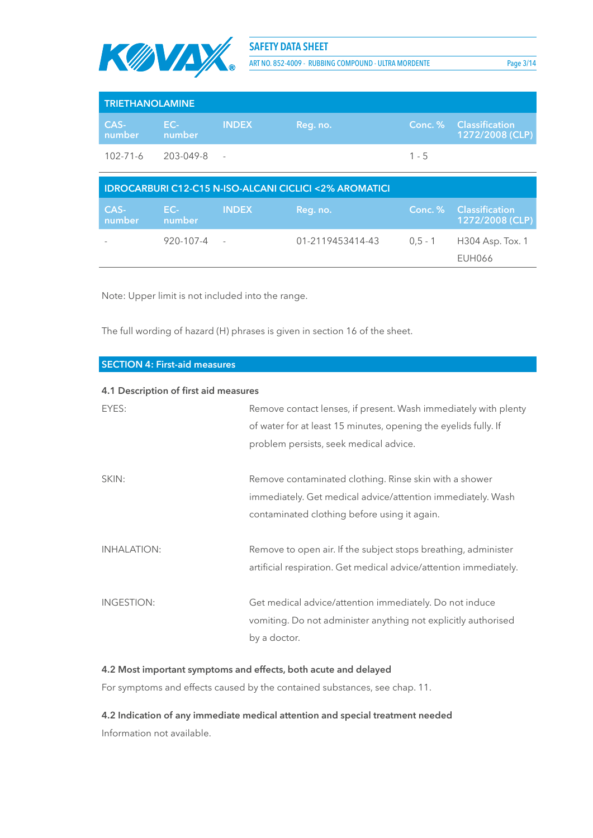

ART NO. 852-4009 - RUBBING COMPOUND - ULTRA MORDENTE Page 3/14

| <b>TRIETHANOLAMINE</b> |               |              |          |         |                                           |  |  |
|------------------------|---------------|--------------|----------|---------|-------------------------------------------|--|--|
| CAS-<br>number         | EC-<br>number | <b>INDEX</b> | Reg. no. |         | Conc. % Classification<br>1272/2008 (CLP) |  |  |
| 102-71-6               | 203-049-8     | $\sim$ $-$   |          | $1 - 5$ |                                           |  |  |

| <b>IDROCARBURI C12-C15 N-ISO-ALCANI CICLICI &lt;2% AROMATICI</b> |               |              |                  |           |                                                  |  |  |
|------------------------------------------------------------------|---------------|--------------|------------------|-----------|--------------------------------------------------|--|--|
| CAS-<br>number                                                   | EC-<br>number | <b>INDEX</b> | Reg. no.         |           | <b>Conc. % Classification</b><br>1272/2008 (CLP) |  |  |
|                                                                  | 920-107-4     |              | 01-2119453414-43 | $0.5 - 1$ | H304 Asp. Tox. 1                                 |  |  |
|                                                                  |               |              |                  |           | <b>EUH066</b>                                    |  |  |

Note: Upper limit is not included into the range.

The full wording of hazard (H) phrases is given in section 16 of the sheet.

| <b>SECTION 4: First-aid measures</b>  |                                                                                                                                                                              |
|---------------------------------------|------------------------------------------------------------------------------------------------------------------------------------------------------------------------------|
| 4.1 Description of first aid measures |                                                                                                                                                                              |
| EYES:                                 | Remove contact lenses, if present. Wash immediately with plenty<br>of water for at least 15 minutes, opening the eyelids fully. If<br>problem persists, seek medical advice. |
| SKIN:                                 | Remove contaminated clothing. Rinse skin with a shower<br>immediately. Get medical advice/attention immediately. Wash<br>contaminated clothing before using it again.        |
| <b>INHALATION:</b>                    | Remove to open air. If the subject stops breathing, administer<br>artificial respiration. Get medical advice/attention immediately.                                          |
| INGESTION:                            | Get medical advice/attention immediately. Do not induce<br>vomiting. Do not administer anything not explicitly authorised<br>by a doctor.                                    |

## **4.2 Most important symptoms and effects, both acute and delayed**

For symptoms and effects caused by the contained substances, see chap. 11.

**4.2 Indication of any immediate medical attention and special treatment needed** Information not available.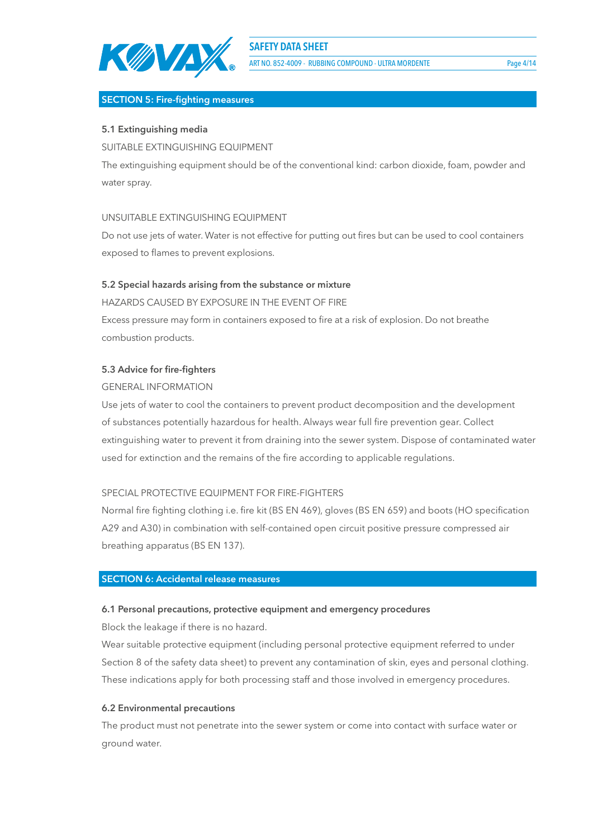

ART NO. 852-4009 - RUBBING COMPOUND - ULTRA MORDENTE Page 4/14

## **SECTION 5: Fire-fighting measures**

## **5.1 Extinguishing media**

SUITABLE EXTINGUISHING EQUIPMENT

The extinguishing equipment should be of the conventional kind: carbon dioxide, foam, powder and water spray.

## UNSUITABLE EXTINGUISHING EQUIPMENT

Do not use jets of water. Water is not effective for putting out fires but can be used to cool containers exposed to flames to prevent explosions.

## **5.2 Special hazards arising from the substance or mixture**

HAZARDS CAUSED BY EXPOSURE IN THE EVENT OF FIRE Excess pressure may form in containers exposed to fire at a risk of explosion. Do not breathe combustion products.

## **5.3 Advice for fire-fighters**

## GENERAL INFORMATION

Use jets of water to cool the containers to prevent product decomposition and the development of substances potentially hazardous for health. Always wear full fire prevention gear. Collect extinguishing water to prevent it from draining into the sewer system. Dispose of contaminated water used for extinction and the remains of the fire according to applicable regulations.

## SPECIAL PROTECTIVE EQUIPMENT FOR FIRE-FIGHTERS

Normal fire fighting clothing i.e. fire kit (BS EN 469), gloves (BS EN 659) and boots (HO specification A29 and A30) in combination with self-contained open circuit positive pressure compressed air breathing apparatus (BS EN 137).

### **SECTION 6: Accidental release measures**

#### **6.1 Personal precautions, protective equipment and emergency procedures**

Block the leakage if there is no hazard.

Wear suitable protective equipment (including personal protective equipment referred to under Section 8 of the safety data sheet) to prevent any contamination of skin, eyes and personal clothing. These indications apply for both processing staff and those involved in emergency procedures.

#### **6.2 Environmental precautions**

The product must not penetrate into the sewer system or come into contact with surface water or ground water.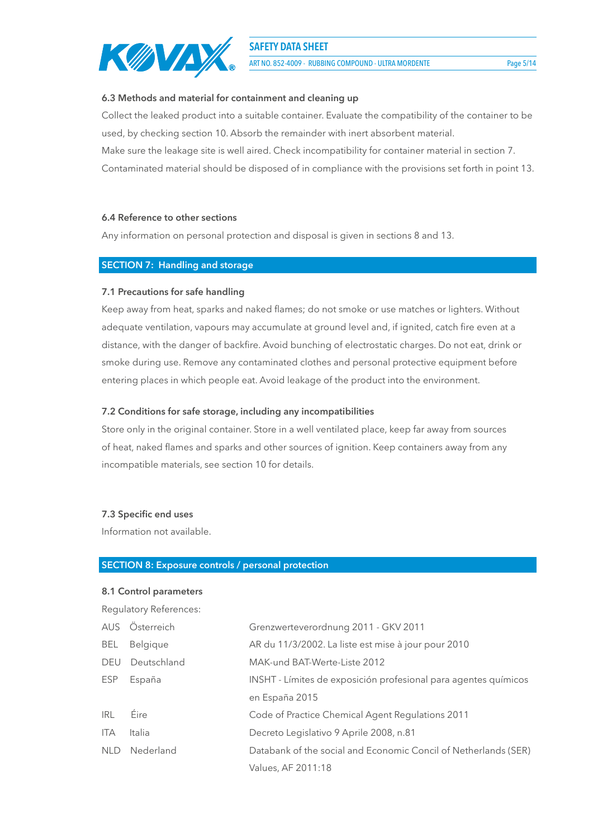

ART NO. 852-4009 - RUBBING COMPOUND - ULTRA MORDENTE Page 5/14

### **6.3 Methods and material for containment and cleaning up**

Collect the leaked product into a suitable container. Evaluate the compatibility of the container to be used, by checking section 10. Absorb the remainder with inert absorbent material.

Make sure the leakage site is well aired. Check incompatibility for container material in section 7.

Contaminated material should be disposed of in compliance with the provisions set forth in point 13.

## **6.4 Reference to other sections**

Any information on personal protection and disposal is given in sections 8 and 13.

## **SECTION 7: Handling and storage**

## **7.1 Precautions for safe handling**

Keep away from heat, sparks and naked flames; do not smoke or use matches or lighters. Without adequate ventilation, vapours may accumulate at ground level and, if ignited, catch fire even at a distance, with the danger of backfire. Avoid bunching of electrostatic charges. Do not eat, drink or smoke during use. Remove any contaminated clothes and personal protective equipment before entering places in which people eat. Avoid leakage of the product into the environment.

## **7.2 Conditions for safe storage, including any incompatibilities**

Store only in the original container. Store in a well ventilated place, keep far away from sources of heat, naked flames and sparks and other sources of ignition. Keep containers away from any incompatible materials, see section 10 for details.

#### **7.3 Specific end uses**

Information not available.

#### **SECTION 8: Exposure controls / personal protection**

# **8.1 Control parameters** Regulatory References:

|            | AUS Österreich | Grenzwerteverordnung 2011 - GKV 2011                            |
|------------|----------------|-----------------------------------------------------------------|
| BEL        | Belgique       | AR du 11/3/2002. La liste est mise à jour pour 2010             |
| DEU        | Deutschland    | MAK-und BAT-Werte-Liste 2012                                    |
| ESP        | España         | INSHT - Límites de exposición profesional para agentes químicos |
|            |                | en España 2015                                                  |
| <b>IRL</b> | Eire           | Code of Practice Chemical Agent Regulations 2011                |
| <b>ITA</b> | Italia         | Decreto Legislativo 9 Aprile 2008, n.81                         |
|            | NLD Nederland  | Databank of the social and Economic Concil of Netherlands (SER) |
|            |                | Values, AF 2011:18                                              |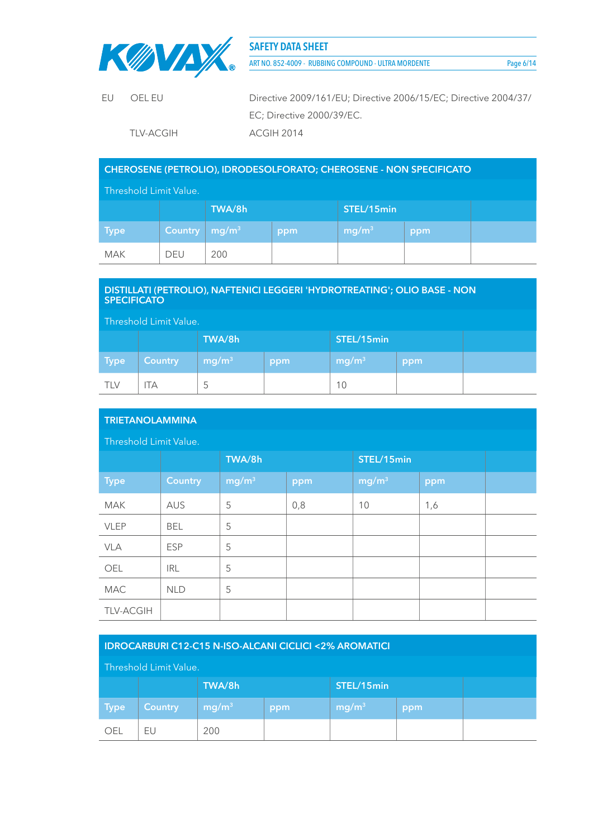

ART NO. 852-4009 - RUBBING COMPOUND - ULTRA MORDENTE Page 6/14

| EU. | OFI FU     | Directive 2009/161/EU; Directive 2006/15/EC; Directive 2004/37/ |
|-----|------------|-----------------------------------------------------------------|
|     |            | EC; Directive 2000/39/EC.                                       |
|     | TI V-ACGIH | ACGIH 2014                                                      |

## **CHEROSENE (PETROLIO), IDRODESOLFORATO; CHEROSENE - NON SPECIFICATO**

| Threshold Limit Value. |                |                   |     |                   |     |  |  |
|------------------------|----------------|-------------------|-----|-------------------|-----|--|--|
| TWA/8h<br>STEL/15min   |                |                   |     |                   |     |  |  |
| <b>Type</b>            | <b>Country</b> | mg/m <sup>3</sup> | ppm | mg/m <sup>3</sup> | ppm |  |  |
| <b>MAK</b>             | <b>DEU</b>     | 200               |     |                   |     |  |  |

## **DISTILLATI (PETROLIO), NAFTENICI LEGGERI 'HYDROTREATING'; OLIO BASE - NON SPECIFICATO**

| Threshold Limit Value. |                |                      |     |                   |     |  |  |
|------------------------|----------------|----------------------|-----|-------------------|-----|--|--|
|                        |                | TWA/8h<br>STEL/15min |     |                   |     |  |  |
| <b>Type</b>            | <b>Country</b> | mg/m <sup>3</sup>    | ppm | mg/m <sup>3</sup> | ppm |  |  |
| <b>TLV</b>             | ТA             | C                    |     | 10                |     |  |  |

| <b>TRIETANOLAMMINA</b> |                |                   |     |                   |     |  |
|------------------------|----------------|-------------------|-----|-------------------|-----|--|
| Threshold Limit Value. |                |                   |     |                   |     |  |
|                        |                | TWA/8h            |     | STEL/15min        |     |  |
| <b>Type</b>            | <b>Country</b> | mg/m <sup>3</sup> | ppm | mg/m <sup>3</sup> | ppm |  |
| <b>MAK</b>             | AUS            | 5                 | 0,8 | 10                | 1,6 |  |
| <b>VLEP</b>            | <b>BEL</b>     | 5                 |     |                   |     |  |
| <b>VLA</b>             | <b>ESP</b>     | 5                 |     |                   |     |  |
| OEL                    | <b>IRL</b>     | 5                 |     |                   |     |  |
| <b>MAC</b>             | <b>NLD</b>     | 5                 |     |                   |     |  |
| <b>TLV-ACGIH</b>       |                |                   |     |                   |     |  |

## **IDROCARBURI C12-C15 N-ISO-ALCANI CICLICI <2% AROMATICI**

#### Threshold Limit Value.

|            |                | TWA/8h            |     | STEL/15min        |     |  |
|------------|----------------|-------------------|-----|-------------------|-----|--|
| Type       | <b>Country</b> | mg/m <sup>3</sup> | ppm | mg/m <sup>3</sup> | ppm |  |
| <b>OEL</b> | ΕU             | 200               |     |                   |     |  |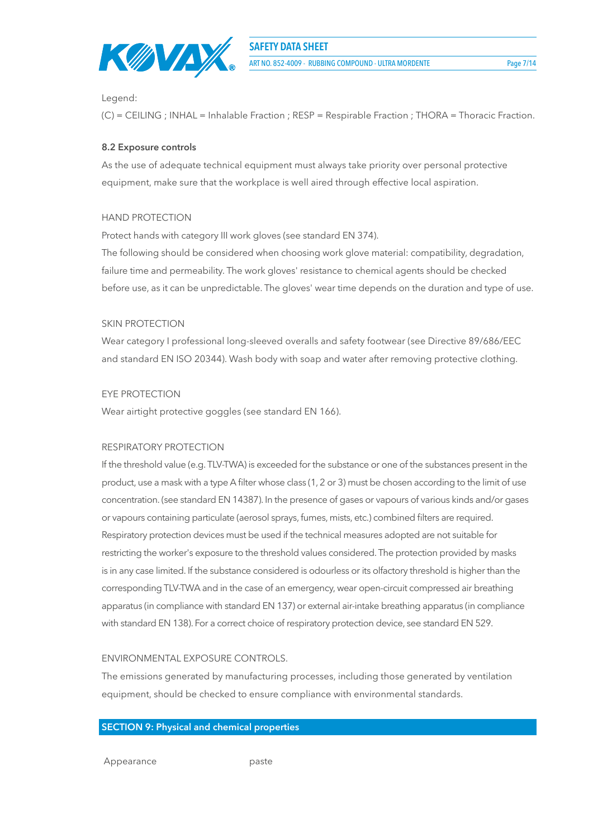

### Legend:

(C) = CEILING ; INHAL = Inhalable Fraction ; RESP = Respirable Fraction ; THORA = Thoracic Fraction.

## **8.2 Exposure controls**

As the use of adequate technical equipment must always take priority over personal protective equipment, make sure that the workplace is well aired through effective local aspiration.

## HAND PROTECTION

Protect hands with category III work gloves (see standard EN 374).

The following should be considered when choosing work glove material: compatibility, degradation, failure time and permeability. The work gloves' resistance to chemical agents should be checked before use, as it can be unpredictable. The gloves' wear time depends on the duration and type of use.

## SKIN PROTECTION

Wear category I professional long-sleeved overalls and safety footwear (see Directive 89/686/EEC and standard EN ISO 20344). Wash body with soap and water after removing protective clothing.

## EYE PROTECTION

Wear airtight protective goggles (see standard EN 166).

#### RESPIRATORY PROTECTION

If the threshold value (e.g. TLV-TWA) is exceeded for the substance or one of the substances present in the product, use a mask with a type A filter whose class (1, 2 or 3) must be chosen according to the limit of use concentration. (see standard EN 14387). In the presence of gases or vapours of various kinds and/or gases or vapours containing particulate (aerosol sprays, fumes, mists, etc.) combined filters are required. Respiratory protection devices must be used if the technical measures adopted are not suitable for restricting the worker's exposure to the threshold values considered. The protection provided by masks is in any case limited. If the substance considered is odourless or its olfactory threshold is higher than the corresponding TLV-TWA and in the case of an emergency, wear open-circuit compressed air breathing apparatus (in compliance with standard EN 137) or external air-intake breathing apparatus (in compliance with standard EN 138). For a correct choice of respiratory protection device, see standard EN 529.

## ENVIRONMENTAL EXPOSURE CONTROLS.

The emissions generated by manufacturing processes, including those generated by ventilation equipment, should be checked to ensure compliance with environmental standards.

## **SECTION 9: Physical and chemical properties**

Appearance paste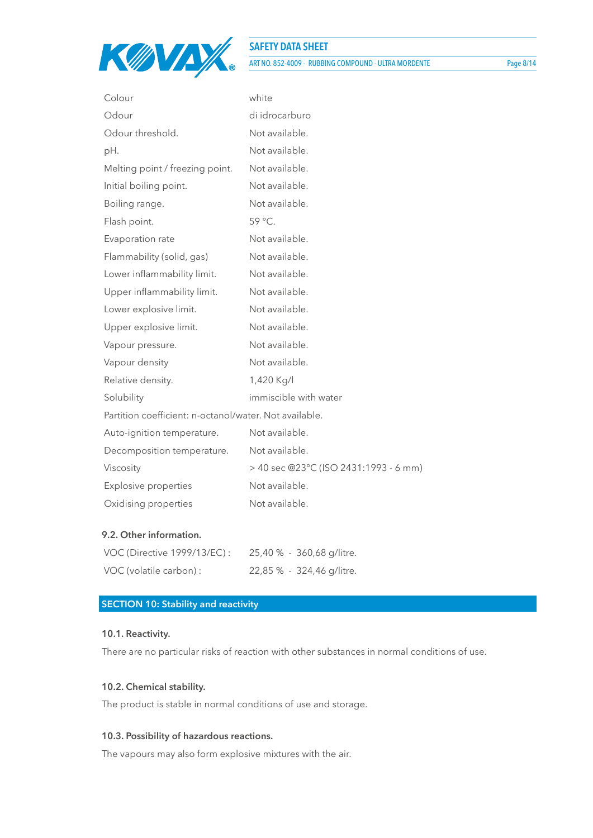

ART NO. 852-4009 - RUBBING COMPOUND - ULTRA MORDENTE Page 8/14

| Colour                                                 | white                                 |
|--------------------------------------------------------|---------------------------------------|
| Odour                                                  | di idrocarburo                        |
| Odour threshold.                                       | Not available.                        |
| pH.                                                    | Not available.                        |
| Melting point / freezing point.                        | Not available.                        |
| Initial boiling point.                                 | Not available.                        |
| Boiling range.                                         | Not available.                        |
| Flash point.                                           | 59 °C.                                |
| Evaporation rate                                       | Not available.                        |
| Flammability (solid, gas)                              | Not available.                        |
| Lower inflammability limit.                            | Not available.                        |
| Upper inflammability limit.                            | Not available.                        |
| Lower explosive limit.                                 | Not available.                        |
| Upper explosive limit.                                 | Not available.                        |
| Vapour pressure.                                       | Not available.                        |
| Vapour density                                         | Not available.                        |
| Relative density.                                      | 1,420 Kg/l                            |
| Solubility                                             | immiscible with water                 |
| Partition coefficient: n-octanol/water. Not available. |                                       |
| Auto-ignition temperature.                             | Not available.                        |
| Decomposition temperature.                             | Not available.                        |
| Viscosity                                              | > 40 sec @23°C (ISO 2431:1993 - 6 mm) |
| <b>Explosive properties</b>                            | Not available.                        |
| Oxidising properties                                   | Not available.                        |

## **9.2. Other information.**

| VOC (Directive 1999/13/EC): | 25,40 % - 360,68 g/litre. |
|-----------------------------|---------------------------|
| VOC (volatile carbon) :     | 22,85 % - 324,46 g/litre. |

## **SECTION 10: Stability and reactivity**

#### **10.1. Reactivity.**

There are no particular risks of reaction with other substances in normal conditions of use.

#### **10.2. Chemical stability.**

The product is stable in normal conditions of use and storage.

## **10.3. Possibility of hazardous reactions.**

The vapours may also form explosive mixtures with the air.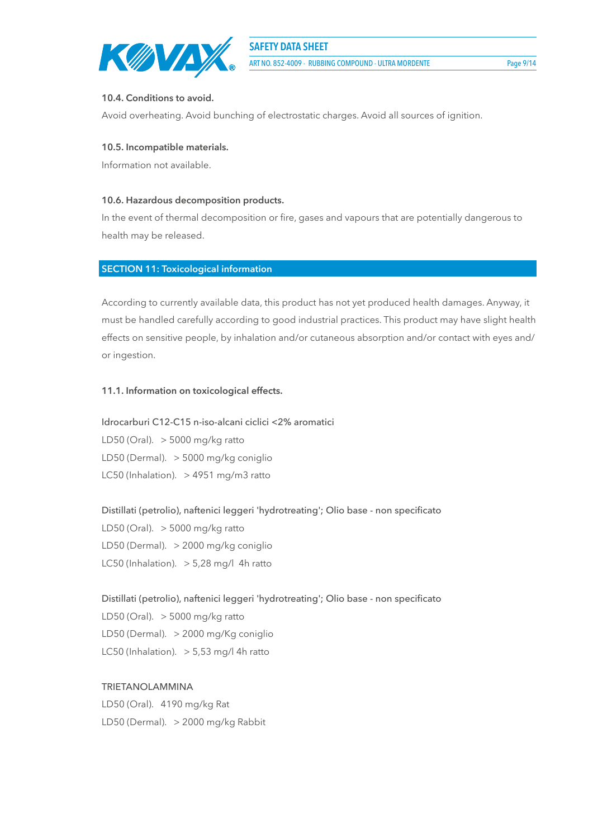

ART NO. 852-4009 - RUBBING COMPOUND - ULTRA MORDENTE Page 9/14

### **10.4. Conditions to avoid.**

Avoid overheating. Avoid bunching of electrostatic charges. Avoid all sources of ignition.

### **10.5. Incompatible materials.**

Information not available.

## **10.6. Hazardous decomposition products.**

In the event of thermal decomposition or fire, gases and vapours that are potentially dangerous to health may be released.

## **SECTION 11: Toxicological information**

According to currently available data, this product has not yet produced health damages. Anyway, it must be handled carefully according to good industrial practices. This product may have slight health effects on sensitive people, by inhalation and/or cutaneous absorption and/or contact with eyes and/ or ingestion.

## **11.1. Information on toxicological effects.**

Idrocarburi C12-C15 n-iso-alcani ciclici <2% aromatici LD50 (Oral).  $>$  5000 mg/kg ratto LD50 (Dermal). > 5000 mg/kg coniglio LC50 (Inhalation). > 4951 mg/m3 ratto

Distillati (petrolio), naftenici leggeri 'hydrotreating'; Olio base - non specificato LD50 (Oral).  $>$  5000 mg/kg ratto LD50 (Dermal). > 2000 mg/kg coniglio LC50 (Inhalation).  $> 5,28$  mg/l 4h ratto

Distillati (petrolio), naftenici leggeri 'hydrotreating'; Olio base - non specificato LD50 (Oral).  $>$  5000 mg/kg ratto LD50 (Dermal). > 2000 mg/Kg coniglio LC50 (Inhalation).  $>$  5,53 mg/l 4h ratto

## TRIETANOLAMMINA

LD50 (Oral). 4190 mg/kg Rat LD50 (Dermal). > 2000 mg/kg Rabbit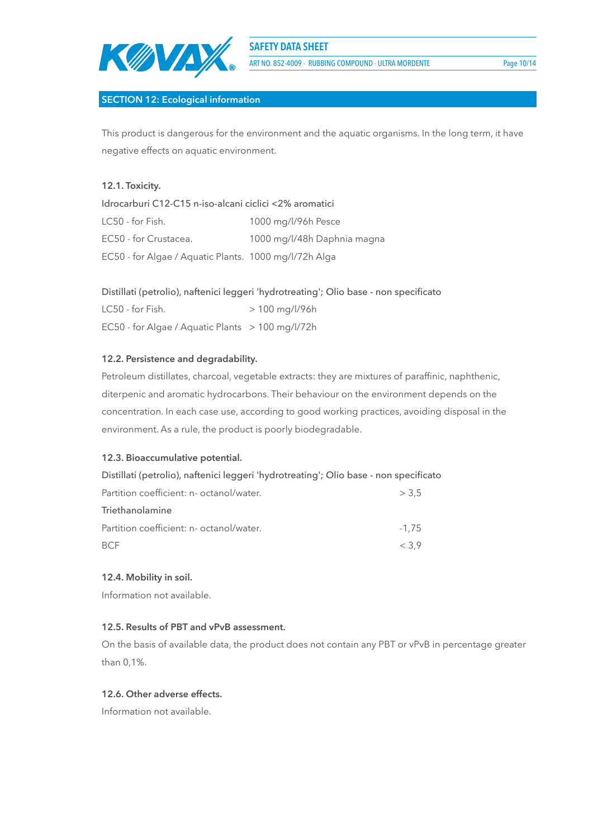

ART NO. 852-4009 - RUBBING COMPOUND - ULTRA MORDENTE Page 10/14

## **SECTION 12: Ecological information**

This product is dangerous for the environment and the aquatic organisms. In the long term, it have negative effects on aquatic environment.

## **12.1. Toxicity.**

Idrocarburi C12-C15 n-iso-alcani ciclici <2% aromatici LC50 - for Fish. 1000 mg/l/96h Pesce EC50 - for Crustacea. 1000 mg/l/48h Daphnia magna EC50 - for Algae / Aquatic Plants. 1000 mg/l/72h Alga

## Distillati (petrolio), naftenici leggeri 'hydrotreating'; Olio base - non specificato

 $LC50 - for Fish.$  > 100 mg/l/96h EC50 - for Algae / Aquatic Plants > 100 mg/l/72h

## **12.2. Persistence and degradability.**

Petroleum distillates, charcoal, vegetable extracts: they are mixtures of paraffinic, naphthenic, diterpenic and aromatic hydrocarbons. Their behaviour on the environment depends on the concentration. In each case use, according to good working practices, avoiding disposal in the environment. As a rule, the product is poorly biodegradable.

## **12.3. Bioaccumulative potential.**

| Distillati (petrolio), naftenici leggeri 'hydrotreating'; Olio base - non specificato |
|---------------------------------------------------------------------------------------|
| > 3.5                                                                                 |
|                                                                                       |
| $-1.75$                                                                               |
| < 3.9                                                                                 |
|                                                                                       |

## **12.4. Mobility in soil.**

Information not available.

## **12.5. Results of PBT and vPvB assessment.**

On the basis of available data, the product does not contain any PBT or vPvB in percentage greater than 0,1%.

## **12.6. Other adverse effects.**

Information not available.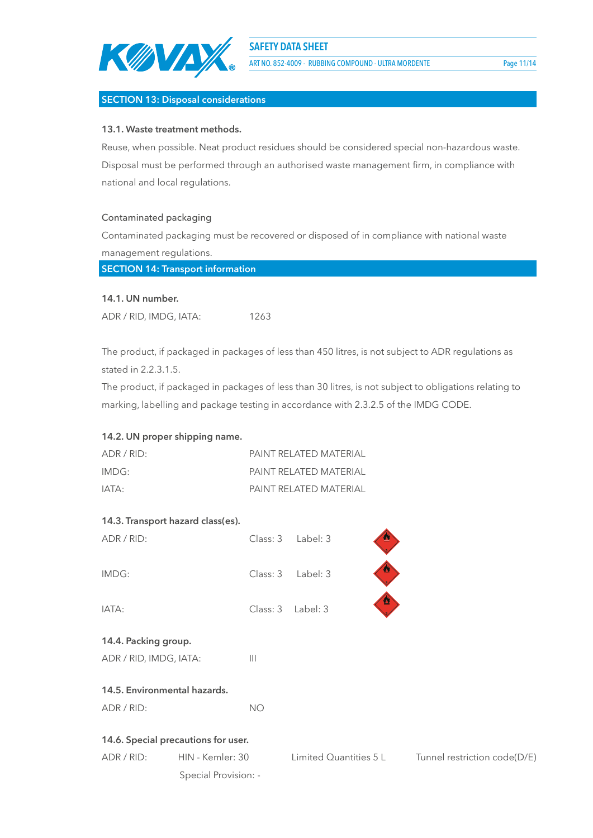

ART NO. 852-4009 - RUBBING COMPOUND - ULTRA MORDENTE Page 11/14

## **SECTION 13: Disposal considerations**

## **13.1. Waste treatment methods.**

Reuse, when possible. Neat product residues should be considered special non-hazardous waste. Disposal must be performed through an authorised waste management firm, in compliance with national and local regulations.

## Contaminated packaging

Contaminated packaging must be recovered or disposed of in compliance with national waste management regulations.

**SECTION 14: Transport information**

#### **14.1. UN number.**

ADR / RID, IMDG, IATA: 1263

The product, if packaged in packages of less than 450 litres, is not subject to ADR regulations as stated in 2.2.3.1.5.

The product, if packaged in packages of less than 30 litres, is not subject to obligations relating to marking, labelling and package testing in accordance with 2.3.2.5 of the IMDG CODE.

## **14.2. UN proper shipping name.**

| ADR/RID: | PAINT RFI ATFD MATFRIAL |
|----------|-------------------------|
| IMDG:    | PAINT RFI ATFD MATFRIAL |
| IATA:    | PAINT RELATED MATERIAL  |

## **14.3. Transport hazard class(es).**

| ADR / RID:                          | Class: 3         | Label: 3               | ø                            |
|-------------------------------------|------------------|------------------------|------------------------------|
| IMDG:                               | Class: 3         | Label: 3               | $\boldsymbol{\mathcal{D}}$   |
| IATA:                               | Class: 3         | Label: 3               | $\boldsymbol{\Omega}$        |
| 14.4. Packing group.                |                  |                        |                              |
| ADR / RID, IMDG, IATA:              | $\mathbf{III}$   |                        |                              |
| 14.5. Environmental hazards.        |                  |                        |                              |
| ADR / RID:                          | <b>NO</b>        |                        |                              |
| 14.6. Special precautions for user. |                  |                        |                              |
| ADR / RID:                          | HIN - Kemler: 30 | Limited Quantities 5 L | Tunnel restriction code(D/E) |

Special Provision: -

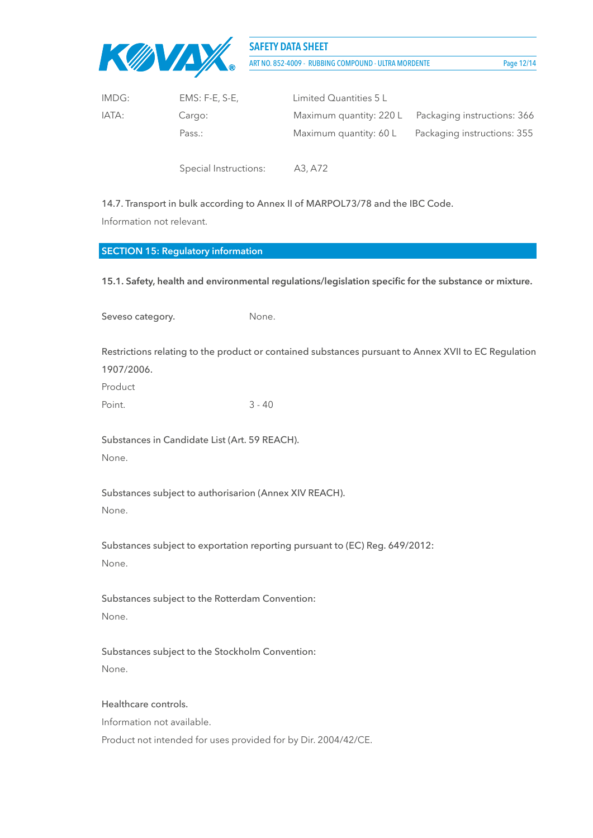

ART NO. 852-4009 - RUBBING COMPOUND - ULTRA MORDENTE Page 12/14

| IMDG: | $EMS: F-E, S-E,$ | Limited Quantities 5 L |                                                     |
|-------|------------------|------------------------|-----------------------------------------------------|
| IATA: | Cargo:           |                        | Maximum quantity: 220 L Packaging instructions: 366 |
|       | Pass.:           | Maximum quantity: 60 L | Packaging instructions: 355                         |

Special Instructions: A3, A72

14.7. Transport in bulk according to Annex II of MARPOL73/78 and the IBC Code. Information not relevant.

# **SECTION 15: Regulatory information**

**15.1. Safety, health and environmental regulations/legislation specific for the substance or mixture.**

| Seveso category.                                                | None.                                                                                                |
|-----------------------------------------------------------------|------------------------------------------------------------------------------------------------------|
| 1907/2006.<br>Product                                           | Restrictions relating to the product or contained substances pursuant to Annex XVII to EC Regulation |
| Point.                                                          | $3 - 40$                                                                                             |
| Substances in Candidate List (Art. 59 REACH).<br>None.          |                                                                                                      |
| Substances subject to authorisarion (Annex XIV REACH).<br>None. |                                                                                                      |
| None.                                                           | Substances subject to exportation reporting pursuant to (EC) Reg. 649/2012:                          |
| Substances subject to the Rotterdam Convention:<br>None.        |                                                                                                      |

Substances subject to the Stockholm Convention: None.

## Healthcare controls.

Information not available.

Product not intended for uses provided for by Dir. 2004/42/CE.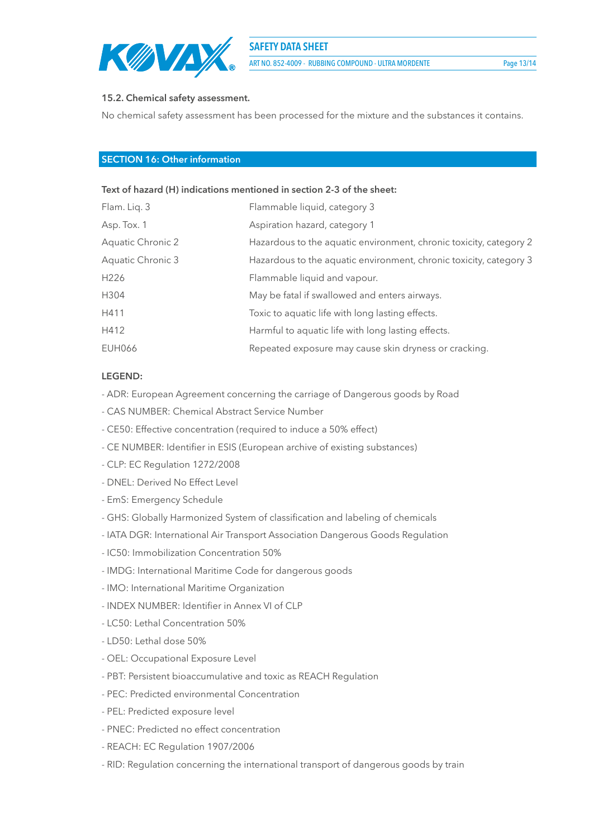

ART NO. 852-4009 - RUBBING COMPOUND - ULTRA MORDENTE Page 13/14

### **15.2. Chemical safety assessment.**

No chemical safety assessment has been processed for the mixture and the substances it contains.

## **SECTION 16: Other information**

#### **Text of hazard (H) indications mentioned in section 2-3 of the sheet:**

| Flam. Liq. 3      | Flammable liquid, category 3                                       |
|-------------------|--------------------------------------------------------------------|
| Asp. Tox. 1       | Aspiration hazard, category 1                                      |
| Aquatic Chronic 2 | Hazardous to the aquatic environment, chronic toxicity, category 2 |
| Aquatic Chronic 3 | Hazardous to the aquatic environment, chronic toxicity, category 3 |
| H <sub>226</sub>  | Flammable liquid and vapour.                                       |
| H304              | May be fatal if swallowed and enters airways.                      |
| H411              | Toxic to aquatic life with long lasting effects.                   |
| H412              | Harmful to aquatic life with long lasting effects.                 |
| <b>EUH066</b>     | Repeated exposure may cause skin dryness or cracking.              |
|                   |                                                                    |

#### **LEGEND:**

- ADR: European Agreement concerning the carriage of Dangerous goods by Road
- CAS NUMBER: Chemical Abstract Service Number
- CE50: Effective concentration (required to induce a 50% effect)
- CE NUMBER: Identifier in ESIS (European archive of existing substances)
- CLP: EC Regulation 1272/2008
- DNEL: Derived No Effect Level
- EmS: Emergency Schedule
- GHS: Globally Harmonized System of classification and labeling of chemicals
- IATA DGR: International Air Transport Association Dangerous Goods Regulation
- IC50: Immobilization Concentration 50%
- IMDG: International Maritime Code for dangerous goods
- IMO: International Maritime Organization
- INDEX NUMBER: Identifier in Annex VI of CLP
- LC50: Lethal Concentration 50%
- LD50: Lethal dose 50%
- OEL: Occupational Exposure Level
- PBT: Persistent bioaccumulative and toxic as REACH Regulation
- PEC: Predicted environmental Concentration
- PEL: Predicted exposure level
- PNEC: Predicted no effect concentration
- REACH: EC Regulation 1907/2006
- RID: Regulation concerning the international transport of dangerous goods by train